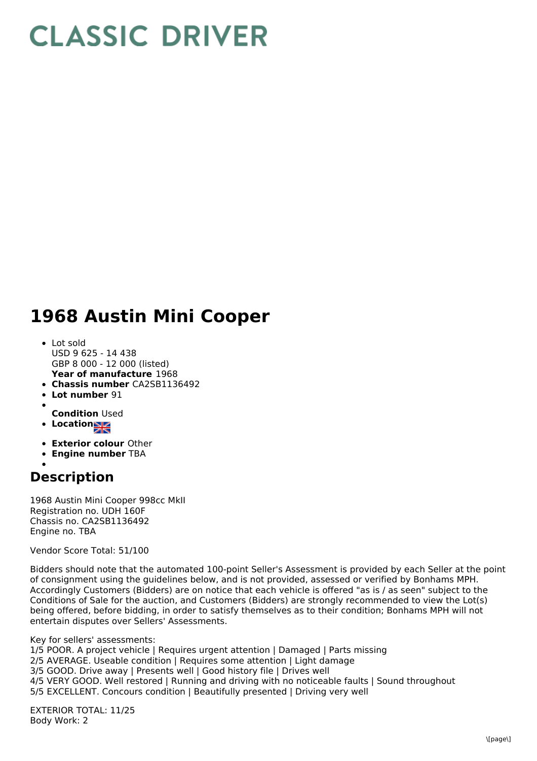## **CLASSIC DRIVER**

## **1968 Austin Mini Cooper**

- **Year of manufacture** 1968 Lot sold USD 9 625 - 14 438 GBP 8 000 - 12 000 (listed)
- **Chassis number** CA2SB1136492
- **Lot number** 91
- 
- **Condition** Used
- **Location**
- **Exterior colour** Other
- **Engine number** TBA
- 

## **Description**

1968 Austin Mini Cooper 998cc MkII Registration no. UDH 160F Chassis no. CA2SB1136492 Engine no. TBA

Vendor Score Total: 51/100

Bidders should note that the automated 100-point Seller's Assessment is provided by each Seller at the point of consignment using the guidelines below, and is not provided, assessed or verified by Bonhams MPH. Accordingly Customers (Bidders) are on notice that each vehicle is offered "as is / as seen" subject to the Conditions of Sale for the auction, and Customers (Bidders) are strongly recommended to view the Lot(s) being offered, before bidding, in order to satisfy themselves as to their condition; Bonhams MPH will not entertain disputes over Sellers' Assessments.

Key for sellers' assessments:

1/5 POOR. A project vehicle | Requires urgent attention | Damaged | Parts missing

- 2/5 AVERAGE. Useable condition | Requires some attention | Light damage
- 3/5 GOOD. Drive away | Presents well | Good history file | Drives well

4/5 VERY GOOD. Well restored | Running and driving with no noticeable faults | Sound throughout

5/5 EXCELLENT. Concours condition | Beautifully presented | Driving very well

EXTERIOR TOTAL: 11/25 Body Work: 2